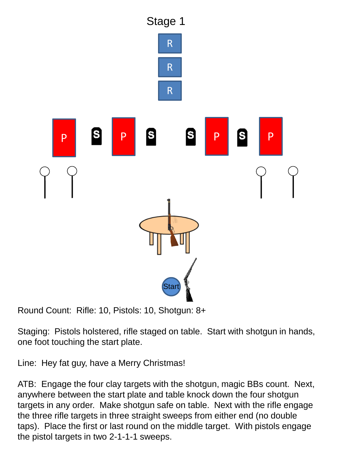

Staging: Pistols holstered, rifle staged on table. Start with shotgun in hands, one foot touching the start plate.

Line: Hey fat guy, have a Merry Christmas!

ATB: Engage the four clay targets with the shotgun, magic BBs count. Next, anywhere between the start plate and table knock down the four shotgun targets in any order. Make shotgun safe on table. Next with the rifle engage the three rifle targets in three straight sweeps from either end (no double taps). Place the first or last round on the middle target. With pistols engage the pistol targets in two 2-1-1-1 sweeps.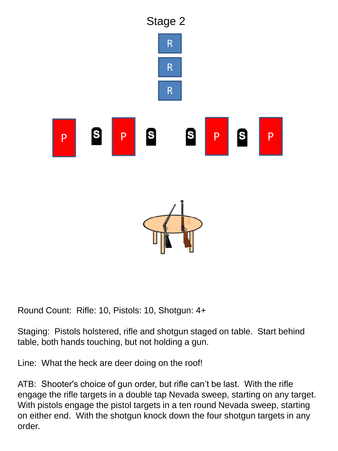

Staging: Pistols holstered, rifle and shotgun staged on table. Start behind table, both hands touching, but not holding a gun.

Line: What the heck are deer doing on the roof!

ATB: Shooter's choice of gun order, but rifle can't be last. With the rifle engage the rifle targets in a double tap Nevada sweep, starting on any target. With pistols engage the pistol targets in a ten round Nevada sweep, starting on either end. With the shotgun knock down the four shotgun targets in any order.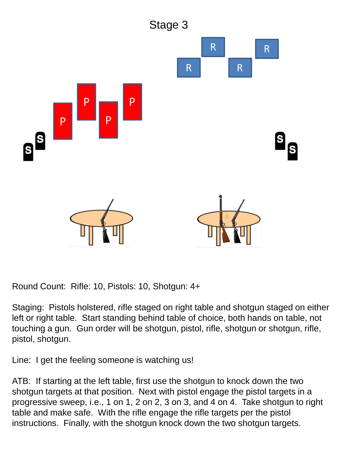

Staging: Pistols holstered, rifle staged on right table and shotgun staged on either left or right table. Start standing behind table of choice, both hands on table, not touching a gun. Gun order will be shotgun, pistol, rifle, shotgun or shotgun, rifle, pistol, shotgun.

Line: I get the feeling someone is watching us!

ATB: If starting at the left table, first use the shotgun to knock down the two shotgun targets at that position. Next with pistol engage the pistol targets in a progressive sweep, i.e., 1 on 1, 2 on 2, 3 on 3, and 4 on 4. Take shotgun to right table and make safe. With the rifle engage the rifle targets per the pistol instructions. Finally, with the shotgun knock down the two shotgun targets.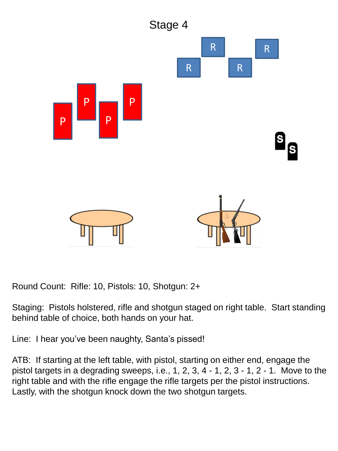

Staging: Pistols holstered, rifle and shotgun staged on right table. Start standing behind table of choice, both hands on your hat.

Line: I hear you've been naughty, Santa's pissed!

ATB: If starting at the left table, with pistol, starting on either end, engage the pistol targets in a degrading sweeps, i.e., 1, 2, 3, 4 - 1, 2, 3 - 1, 2 - 1. Move to the right table and with the rifle engage the rifle targets per the pistol instructions. Lastly, with the shotgun knock down the two shotgun targets.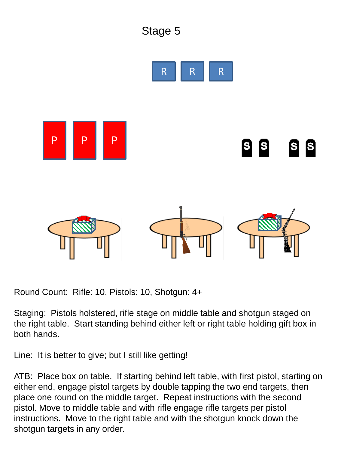

Staging: Pistols holstered, rifle stage on middle table and shotgun staged on the right table. Start standing behind either left or right table holding gift box in both hands.

Line: It is better to give; but I still like getting!

ATB: Place box on table. If starting behind left table, with first pistol, starting on either end, engage pistol targets by double tapping the two end targets, then place one round on the middle target. Repeat instructions with the second pistol. Move to middle table and with rifle engage rifle targets per pistol instructions. Move to the right table and with the shotgun knock down the shotgun targets in any order.